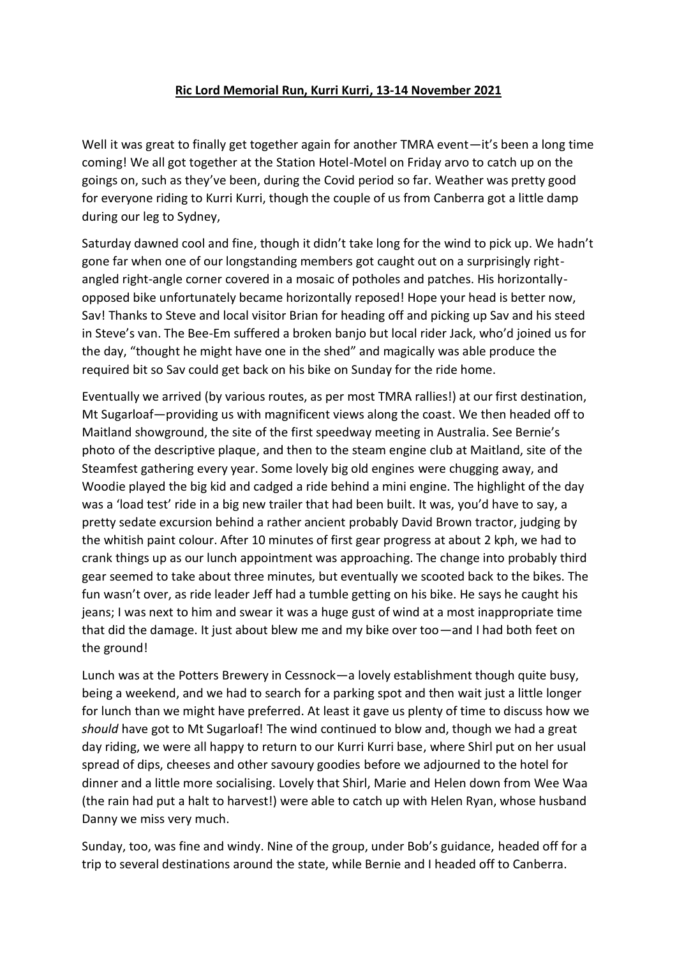## **Ric Lord Memorial Run, Kurri Kurri, 13-14 November 2021**

Well it was great to finally get together again for another TMRA event—it's been a long time coming! We all got together at the Station Hotel-Motel on Friday arvo to catch up on the goings on, such as they've been, during the Covid period so far. Weather was pretty good for everyone riding to Kurri Kurri, though the couple of us from Canberra got a little damp during our leg to Sydney,

Saturday dawned cool and fine, though it didn't take long for the wind to pick up. We hadn't gone far when one of our longstanding members got caught out on a surprisingly rightangled right-angle corner covered in a mosaic of potholes and patches. His horizontallyopposed bike unfortunately became horizontally reposed! Hope your head is better now, Sav! Thanks to Steve and local visitor Brian for heading off and picking up Sav and his steed in Steve's van. The Bee-Em suffered a broken banjo but local rider Jack, who'd joined us for the day, "thought he might have one in the shed" and magically was able produce the required bit so Sav could get back on his bike on Sunday for the ride home.

Eventually we arrived (by various routes, as per most TMRA rallies!) at our first destination, Mt Sugarloaf—providing us with magnificent views along the coast. We then headed off to Maitland showground, the site of the first speedway meeting in Australia. See Bernie's photo of the descriptive plaque, and then to the steam engine club at Maitland, site of the Steamfest gathering every year. Some lovely big old engines were chugging away, and Woodie played the big kid and cadged a ride behind a mini engine. The highlight of the day was a 'load test' ride in a big new trailer that had been built. It was, you'd have to say, a pretty sedate excursion behind a rather ancient probably David Brown tractor, judging by the whitish paint colour. After 10 minutes of first gear progress at about 2 kph, we had to crank things up as our lunch appointment was approaching. The change into probably third gear seemed to take about three minutes, but eventually we scooted back to the bikes. The fun wasn't over, as ride leader Jeff had a tumble getting on his bike. He says he caught his jeans; I was next to him and swear it was a huge gust of wind at a most inappropriate time that did the damage. It just about blew me and my bike over too—and I had both feet on the ground!

Lunch was at the Potters Brewery in Cessnock—a lovely establishment though quite busy, being a weekend, and we had to search for a parking spot and then wait just a little longer for lunch than we might have preferred. At least it gave us plenty of time to discuss how we *should* have got to Mt Sugarloaf! The wind continued to blow and, though we had a great day riding, we were all happy to return to our Kurri Kurri base, where Shirl put on her usual spread of dips, cheeses and other savoury goodies before we adjourned to the hotel for dinner and a little more socialising. Lovely that Shirl, Marie and Helen down from Wee Waa (the rain had put a halt to harvest!) were able to catch up with Helen Ryan, whose husband Danny we miss very much.

Sunday, too, was fine and windy. Nine of the group, under Bob's guidance, headed off for a trip to several destinations around the state, while Bernie and I headed off to Canberra.